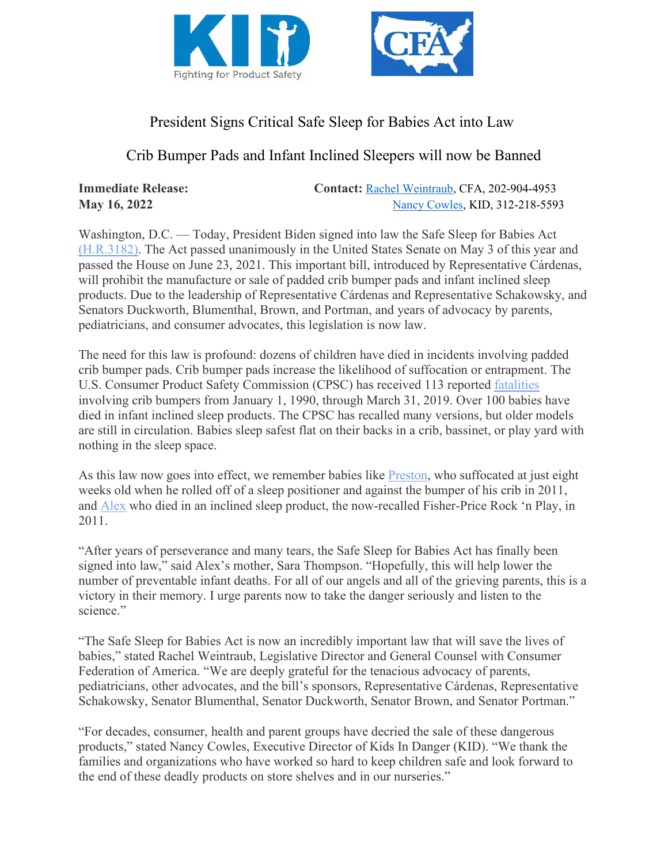



## President Signs Critical Safe Sleep for Babies Act into Law

## Crib Bumper Pads and Infant Inclined Sleepers will now be Banned

**Immediate Release:** Contact: [Rachel Weintraub,](mailto:rweintraub@consumerfed.org) CFA, 202-904-4953 **May 16, 2022** [Nancy Cowles,](mailto:nancy@kidsindanger.org) KID, 312-218-5593

Washington, D.C. — Today, President Biden signed into law the Safe Sleep for Babies Act [\(H.R.3182\).](https://www.congress.gov/bill/117th-congress/house-bill/3182/text) The Act passed unanimously in the United States Senate on May 3 of this year and passed the House on June 23, 2021. This important bill, introduced by Representative Cárdenas, will prohibit the manufacture or sale of padded crib bumper pads and infant inclined sleep products. Due to the leadership of Representative Cárdenas and Representative Schakowsky, and Senators Duckworth, Blumenthal, Brown, and Portman, and years of advocacy by parents, pediatricians, and consumer advocates, this legislation is now law.

The need for this law is profound: dozens of children have died in incidents involving padded crib bumper pads. Crib bumper pads increase the likelihood of suffocation or entrapment. The U.S. Consumer Product Safety Commission (CPSC) has received 113 reported [fatalities](https://www.cpsc.gov/s3fs-public/RCA%20-%20Proposed%20Rule%20-%20Safety%20Standard%20for%20Crib%20Bumpers-Liners%20under%20the%20Danny%20Keysar%20Child%20Product%20Safety%20Notification%20Act.pdf) involving crib bumpers from January 1, 1990, through March 31, 2019. Over 100 babies have died in infant inclined sleep products. The CPSC has recalled many versions, but older models are still in circulation. Babies sleep safest flat on their backs in a crib, bassinet, or play yard with nothing in the sleep space.

As this law now goes into effect, we remember babies like [Preston,](https://kidsindanger.org/family-voices/preston/) who suffocated at just eight weeks old when he rolled off of a sleep positioner and against the bumper of his crib in 2011, and [Alex](https://kidsindanger.org/family-voices/alexander/) who died in an inclined sleep product, the now-recalled Fisher-Price Rock 'n Play, in 2011.

"After years of perseverance and many tears, the Safe Sleep for Babies Act has finally been signed into law," said Alex's mother, Sara Thompson. "Hopefully, this will help lower the number of preventable infant deaths. For all of our angels and all of the grieving parents, this is a victory in their memory. I urge parents now to take the danger seriously and listen to the science."

"The Safe Sleep for Babies Act is now an incredibly important law that will save the lives of babies," stated Rachel Weintraub, Legislative Director and General Counsel with Consumer Federation of America. "We are deeply grateful for the tenacious advocacy of parents, pediatricians, other advocates, and the bill's sponsors, Representative Cárdenas, Representative Schakowsky, Senator Blumenthal, Senator Duckworth, Senator Brown, and Senator Portman."

"For decades, consumer, health and parent groups have decried the sale of these dangerous products," stated Nancy Cowles, Executive Director of Kids In Danger (KID). "We thank the families and organizations who have worked so hard to keep children safe and look forward to the end of these deadly products on store shelves and in our nurseries."